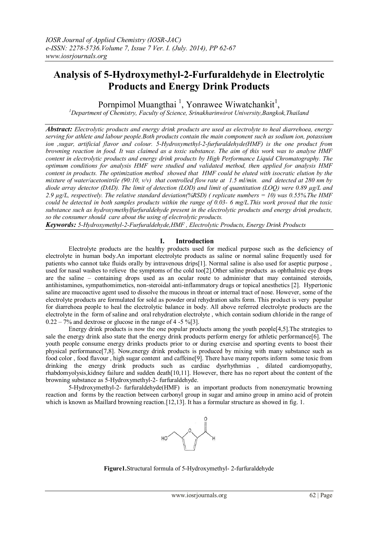# **Analysis of 5-Hydroxymethyl-2-Furfuraldehyde in Electrolytic Products and Energy Drink Products**

Pornpimol Muangthai<sup>1</sup>, Yonrawee Wiwatchankit<sup>1</sup>,

*<sup>1</sup>Department of Chemistry, Faculty of Science, Srinakharinwirot University,Bangkok,Thailand* 

*Abstract: Electrolytic products and energy drink products are used as electrolyte to heal diarrehoea, energy serving for athlete and labour people.Both products contain the main component such as sodium ion, potassium ion ,sugar, artificial flavor and colour. 5-Hydroxymethyl-2-furfuraldehyde(HMF) is the one product from browning reaction in food. It was claimed as a toxic substance. The aim of this work was to analyse HMF content in electrolytic products and energy drink products by High Performance Liquid Chromatography. The optimum conditions for analysis HMF were studied and validated method, then applied for analysis HMF content in products. The optimization method showed that HMF could be eluted with isocratic elution by the mixture of water/acetonitrile (90:10, v/v) that controlled flow rate at 1.5 ml/min. and detected at 280 nm by diode array detector (DAD). The limit of detection (LOD) and limit of quantitation (LOQ) were 0.89 µg/L and 2.9 µg/L, respectively. The relative standard deviation(%RSD) ( replicate numbers = 10) was 0.55%.The HMF could be detected in both samples products within the range of 0.03- 6 mg/L.This work proved that the toxic substance such as hydroxymethylfurfuraldehyde present in the electrolytic products and energy drink products, so the consumer should care about the using of electrolytic products.*

*Keywords: 5-Hydroxymethyl-2-Furfuraldehyde,HMF , Electrolytic Products, Energy Drink Products*

# **I. Introduction**

Electrolyte products are the healthy products used for medical purpose such as the deficiency of electrolyte in human body.An important electrolyte products as saline or normal saline frequently used for patients who cannot take fluids orally by intravenous drips[1]. Normal saline is also used for aseptic purpose , used for nasal washes to relieve the symptoms of the cold too[2].Other saline products as ophthalmic eye drops are the saline – containing drops used as an ocular route to administer that may contained steroids, antihistamines, sympathomimetics, non-steroidal anti-inflammatory drugs or topical anesthetics [2]. Hypertonic saline are mucoactive agent used to dissolve the mucous in throat or internal tract of nose. However, some of the electrolyte products are formulated for sold as powder oral rehydration salts form. This product is very popular for diarrehoea people to heal the electrolytic balance in body. All above referred electrolyte products are the electrolyte in the form of saline and oral rehydration electrolyte , which contain sodium chloride in the range of  $0.22 - 7\%$  and dextrose or glucose in the range of 4 -5 %[3].

Energy drink products is now the one popular products among the youth people[4,5].The strategies to sale the energy drink also state that the energy drink products perform energy for athletic performance[6]. The youth people consume energy drinks products prior to or during exercise and sporting events to boost their physical performance<sup>[7,8]</sup>. Now, energy drink products is produced by mixing with many substance such as food color , food flavour , high sugar content and caffeine[9]. There have many reports inform some toxic from drinking the energy drink products such as cardiac dysrhythmias , dilated cardiomyopathy, rhabdomyolysis,kidney failure and sudden death[10,11]. However, there has no report about the content of the browning substance as 5-Hydroxymethyl-2- furfuraldehyde.

5-Hydroxymethyl-2- furfuraldehyde(HMF) is an important products from nonenzymatic browning reaction and forms by the reaction between carbonyl group in sugar and amino group in amino acid of protein which is known as Maillard browning reaction.<sup>[12,13]</sup>. It has a formular structure as showed in fig. 1.



**Figure1.**Structural formula of 5-Hydroxymethyl- 2-furfuraldehyde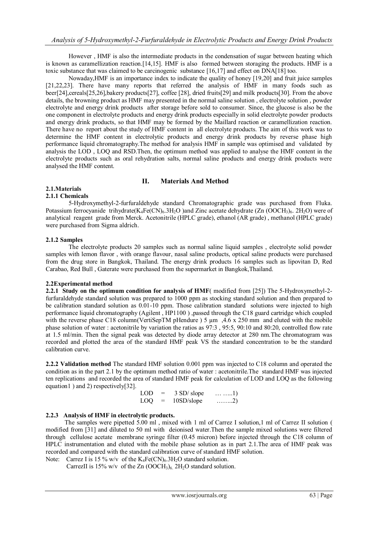However , HMF is also the intermediate products in the condensation of sugar between heating which is known as caramellization reaction.[14,15]. HMF is also formed between storaging the products. HMF is a toxic substance that was claimed to be carcinogenic substance [16,17] and effect on DNA[18] too.

Nowaday,HMF is an importance index to indicate the quality of honey [19,20] and fruit juice samples [21,22,23]. There have many reports that referred the analysis of HMF in many foods such as beer[24],cereals[25,26],bakery products[27], coffee [28], dried fruits[29] and milk products[30]. From the above details, the browning product as HMF may presented in the normal saline solution , electrolyte solution , powder electrolyte and energy drink products after storage before sold to consumer. Since, the glucose is also be the one component in electrolyte products and energy drink products especially in solid electrolyte powder products and energy drink products, so that HMF may be formed by the Maillard reaction or caramellization reaction. There have no report about the study of HMF content in all electrolyte products. The aim of this work was to determine the HMF content in electrolytic products and energy drink products by reverse phase high performance liquid chromatography.The method for analysis HMF in sample was optimised and validated by analysis the LOD , LOQ and RSD.Then, the optimum method was applied to analyse the HMF content in the electrolyte products such as oral rehydration salts, normal saline products and energy drink products were analysed the HMF content.

### **II. Materials And Method**

# **2.1.Materials**

### **2.1.1 Chemicals**

5-Hydroxymethyl-2-furfuraldehyde standard Chromatographic grade was purchased from Fluka. Potassium ferrocyanide trihydrate(K<sub>4</sub>Fe(CN)<sub>6</sub>.3H<sub>2</sub>O )and Zinc acetate dehydrate (Zn (OOCH<sub>3</sub>)<sub>6</sub>. 2H<sub>2</sub>O) were of analytical reagent grade from Merck. Acetonitrile (HPLC grade), ethanol (AR grade) , methanol (HPLC grade) were purchased from Sigma aldrich.

## **2.1.2 Samples**

The electrolyte products 20 samples such as normal saline liquid samples , electrolyte solid powder samples with lemon flavor , with orange flavour, nasal saline products, optical saline products were purchased from the drug store in Bangkok, Thailand. The energy drink products 16 samples such as lipovitan D, Red Carabao, Red Bull , Gaterate were purchased from the supermarket in Bangkok,Thailand.

### **2.2Experimental method**

**2.2.1 Study on the optimum condition for analysis of HMF**( modified from [25]) The 5-Hydroxymethyl-2 furfuraldehyde standard solution was prepared to 1000 ppm as stocking standard solution and then prepared to be calibration standard solution as 0.01-10 ppm. Those calibration standard solutions were injected to high performance liquid chromatography (Agilent , HP1100 ) ,passed through the C18 guard cartridge which coupled with the reverse phase C18 column(VertiSepTM pHendure ) 5  $\mu$ m, 4.6 x 250 mm and eluted with the mobile phase solution of water : acetonitrile by variation the ratios as 97:3 , 95:5, 90:10 and 80:20, controlled flow rate at 1.5 ml/min. Then the signal peak was detected by diode array detector at 280 nm.The chromatogram was recorded and plotted the area of the standard HMF peak VS the standard concentration to be the standard calibration curve.

**2.2.2 Validation method** The standard HMF solution 0.001 ppm was injected to C18 column and operated the condition as in the part 2.1 by the optimum method ratio of water : acetonitrile.The standard HMF was injected ten replications and recorded the area of standard HMF peak for calculation of LOD and LOQ as the following equation1 ) and 2) respectively[32].

| LOD.       | $=$ | 3 SD/ slope | $\ldots$ 1)               |
|------------|-----|-------------|---------------------------|
| <b>LOO</b> | $=$ | 10SD/slope  | $\ldots \ldots \ldots 2)$ |

### **2.2.3 Analysis of HMF in electrolytic products.**

 The samples were pipetted 5.00 ml , mixed with 1 ml of Carrez I solution,1 ml of Carrez II solution ( modified from [31] and diluted to 50 ml with deionised water.Then the sample mixed solutions were filtered through cellulose acetate membrane syringe filter (0.45 micron) before injected through the C18 column of HPLC instrumentation and eluted with the mobile phase solution as in part 2.1.The area of HMF peak was recorded and compared with the standard calibration curve of standard HMF solution.

Note: Carrez I is 15 % w/v of the  $K_4Fe(CN)_6.3H_2O$  standard solution. CarrezII is 15% w/v of the Zn  $(OOCH<sub>3)</sub>_{6}$  2H<sub>2</sub>O standard solution.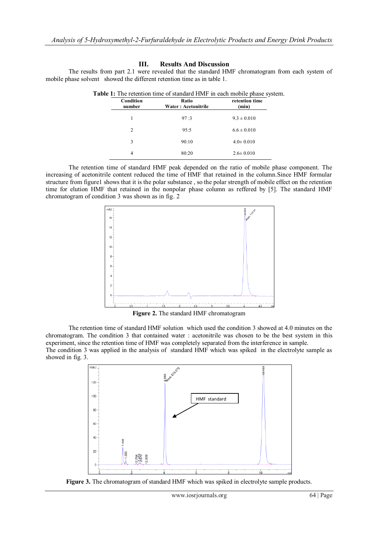The results from part 2.1 were revealed that the standard HMF chromatogram from each system of

#### mobile phase solvent showed the different retention time as in table 1. **Table 1:** The retention time of standard HMF in each mobile phase system. **Condition number Ratio Water : Acetonitrile retention time (min)** 1 97 :3 9.3  $\pm 0.010$

2 95:5 6.6  $\pm$  0.010 3 90:10  $4.0 \pm 0.010$ 4 80:20 2.6± 0.010

|  |           |                      | <b>Table 1.</b> The retention three or standard Them In each moone phase system, |  |
|--|-----------|----------------------|----------------------------------------------------------------------------------|--|
|  | Condition | Ratio                | retention time                                                                   |  |
|  | number    | Water · Acetonitrile | (min)                                                                            |  |

**III. Results And Discussion**

| The retention time of standard HMF peak depended on the ratio of mobile phase component. The                         |
|----------------------------------------------------------------------------------------------------------------------|
| increasing of acetonitrile content reduced the time of HMF that retained in the column. Since HMF formular           |
| structure from figure1 shows that it is the polar substance, so the polar strength of mobile effect on the retention |
| time for elution HMF that retained in the nonpolar phase column as reffered by [5]. The standard HMF                 |
| chromatogram of condition 3 was shown as in fig. 2                                                                   |



**Figure 2.** The standard HMF chromatogram

The retention time of standard HMF solution which used the condition 3 showed at 4.0 minutes on the chromatogram. The condition 3 that contained water : acetonitrile was chosen to be the best system in this experiment, since the retention time of HMF was completely separated from the interference in sample. The condition 3 was applied in the analysis of standard HMF which was spiked in the electrolyte sample as showed in fig. 3.



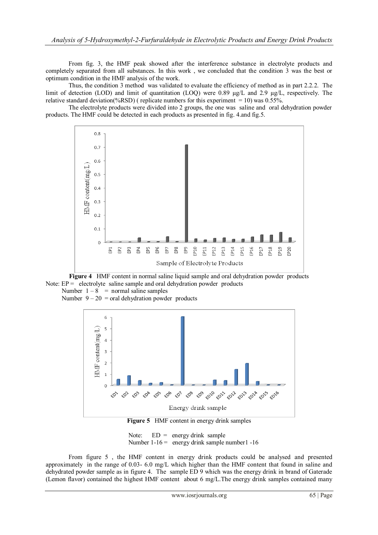From fig. 3, the HMF peak showed after the interference substance in electrolyte products and completely separated from all substances. In this work , we concluded that the condition 3 was the best or optimum condition in the HMF analysis of the work.

Thus, the condition 3 method was validated to evaluate the efficiency of method as in part 2.2.2. The limit of detection (LOD) and limit of quantitation (LOQ) were 0.89 µg/L and 2.9 µg/L, respectively. The relative standard deviation(%RSD) (replicate numbers for this experiment = 10) was 0.55%.

The electrolyte products were divided into 2 groups, the one was saline and oral dehydration powder products. The HMF could be detected in each products as presented in fig. 4.and fig.5.



**Figure 4** HMF content in normal saline liquid sample and oral dehydration powder products Note:  $EP =$  electrolyte saline sample and oral dehydration powder products

Number  $1 - 8$  = normal saline samples Number  $9 - 20 =$  oral dehydration powder products



**Figure 5** HMF content in energy drink samples

Note:  $ED = energy drink sample$ Number  $1-16$  = energy drink sample number 1 -16

From figure 5 , the HMF content in energy drink products could be analysed and presented approximately in the range of 0.03- 6.0 mg/L which higher than the HMF content that found in saline and dehydrated powder sample as in figure 4. The sample ED 9 which was the energy drink in brand of Gaterade (Lemon flavor) contained the highest HMF content about 6 mg/L.The energy drink samples contained many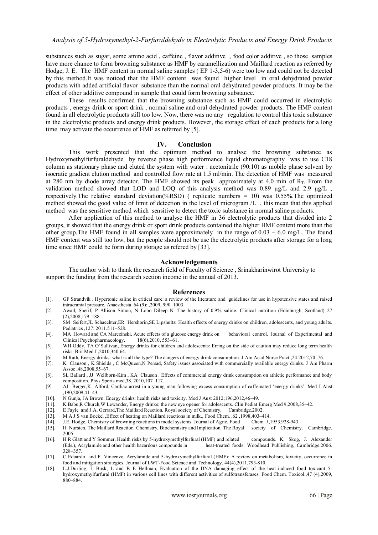substances such as sugar, some amino acid , caffeine , flavor additive , food color additive , so those samples have more chance to form browning substance as HMF by caramellization and Maillard reaction as referred by Hodge, J. E. The HMF content in normal saline samples ( EP 1-3,5-6) were too low and could not be detected by this method.It was noticed that the HMF content was found higher level in oral dehydrated powder products with added artificial flavor substance than the normal oral dehydrated powder products. It may be the effect of other additive compound in sample that could form browning substance.

These results confirmed that the browning substance such as HMF could occurred in electrolytic products , energy drink or sport drink , normal saline and oral dehydrated powder products. The HMF content found in all electrolytic products still too low. Now, there was no any regulation to control this toxic substance in the electrolytic products and energy drink products. However, the storage effect of each products for a long time may activate the occurrence of HMF as referred by [5].

#### **IV. Conclusion**

This work presented that the optimum method to analyse the browning substance as Hydroxymethylfurfuraldehyde by reverse phase high performance liquid chromatography was to use C18 column as stationary phase and eluted the system with water : acetonitrile (90:10) as mobile phase solvent by isocratic gradient elution method and controlled flow rate at 1.5 ml/min. The detection of HMF was measured at 280 nm by diode array detector. The HMF showed its peak approximately at 4.0 min of  $R_T$ . From the validation method showed that LOD and LOQ of this analysis method was 0.89  $\mu$ g/L and 2.9  $\mu$ g/L, respectively.The relative standard deviation(%RSD) ( replicate numbers = 10) was 0.55%.The optimized method showed the good value of limit of detection in the level of microgram /L , this mean that this applied method was the sensitive method which sensitive to detect the toxic substance in normal saline products.

After application of this method to analyse the HMF in 36 electrolytic products that divided into 2 groups, it showed that the energy drink or sport drink products contained the higher HMF content more than the other group.The HMF found in all samples were approximately in the range of 0.03 – 6.0 mg/L. The found HMF content was still too low, but the people should not be use the electrolytic products after storage for a long time since HMF could be form during storage as refered by [33].

#### **Acknowledgements**

The author wish to thank the research field of Faculty of Science , Srinakharinwirot University to support the funding from the research section income in the annual of 2013.

#### **References**

- [1]. GF Strandvik . Hypertonic saline in critical care: a review of the literature and guidelines for use in hypotensive states and raised intracranial pressure. Anaesthesia .64 (9): ,2009, 990–1003.
- [2]. Awad, Sherif; P Allison Simon, N Lobo Dileep N. The history of 0.9% saline. Clinical nutrition (Edinburgh, Scotland) 27 (2),2008,179–188.
- [3]. SM Seifert,JL Schaechter,ER Hershorin,SE Lipshultz. Health effects of energy drinks on children, adolescents, and young adults. Pediatrics ,127: 2011.511–528.
- [4]. MA Howard and CA Marczinski, Acute effects of a glucose energy drink on behavioral control. Journal of Experimental and Clinical Psychopharmacology. 18(6),2010, 553–61.
- [5]. WH Oddy, TA O'Sullivan, Energy drinks for children and adolescents: Erring on the side of caution may reduce long term health risks. Brit Med J ,2010,340:64.
- [6]. M Rath, Energy drinks: what is all the type? The dangers of energy drink consumption. J Am Acad Nurse Pract ,24:2012,70–76.
- [7]. K Clauson , K Shields , C McQueen,N Persad, Safety issues associated with commercially available energy drinks. J Am Pharm Assoc ,48,2008,55–67.
- [8]. SL Ballard , JJ Wellborn-Kim , KA Clauson . Effects of commercial energy drink consumption on athletic performance and body composition. Phys Sports med,38, 2010,107–117.
- [9]. AJ Berger,K Alford, Cardiac arrest in a young man following excess consumption of caffeinated 'energy drinks'. Med J Aust ,190,2009,41–43.
- [10]. N Gunja, JA Brown. Energy drinks: health risks and toxicity. Med J Aust 2012;196,2012,46–49.
- [11]. K Babu,R Church,W Lewander, Energy drinks: the new eye opener for adolescents. Clin Pediat Emerg Med 9,2008,35–42.
- [12]. E Fayle and J.A. Gerrard,The Maillard Reaction**.** Royal society of Chemistry, Cambridge.2002.
- 
- [13]. M A J S van Boekel ,Effect of heating on Maillard reactions in milk., Food Chem. ,62 ,1998,403–414.
- [14]. J.E. Hodge, Chemistry of browning reactions in model systems. Journal of Agric. Food Chem. *1*,1953,928-943. H Nursten, The Maillard Reaction. Chemistry, Biochemistry and Implication. The Royal 2005.
- [16]. H R Glatt and Y Sommer, Health risks by 5-hydroxymethylfurfural (HMF) and related compounds. K. Skog, J. Alexander (Eds.), Acrylamide and other health hazardous compounds in heat-treated foods. Woodhead Publishing, Cambridge.2006. 328–357.
- [17]. C Edoardo and F Vincenzo, Acrylamide and 5-hydroxymethylfurfural (HMF): A review on metabolism, toxicity, occurrence in food and mitigation strategies. Journal of LWT-Food Science and Technology. 44(4),2011,793-810.
- [18]. L.J.Durling, L Busk, L and B E Hellman, Evaluation of the DNA damaging effect of the heat-induced food toxicant 5 hydroxymethylfurfural (HMF) in various cell lines with different activities of sulfotransferases. Food Chem. Toxicol.,47 (4),2009, 880–884.